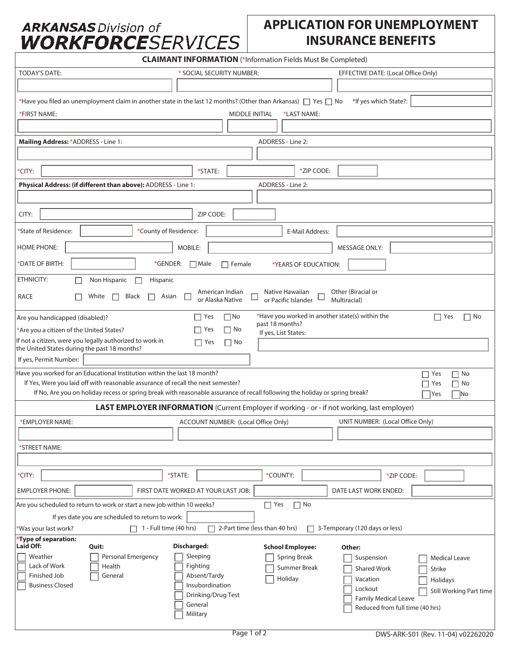## **ARKANSAS Division of WORKFORCES**ERVICES

## **APPLICATION FOR UNEMPLOYMENT INSURANCE BENEFITS**

| <b>CLAIMANT INFORMATION</b> (*Information Fields Must Be Completed)                                                                       |                                                   |                                                 |                                                               |  |  |  |
|-------------------------------------------------------------------------------------------------------------------------------------------|---------------------------------------------------|-------------------------------------------------|---------------------------------------------------------------|--|--|--|
| <b>TODAY'S DATE:</b>                                                                                                                      | * SOCIAL SECURITY NUMBER:                         |                                                 | EFFECTIVE DATE: (Local Office Only)                           |  |  |  |
|                                                                                                                                           |                                                   |                                                 |                                                               |  |  |  |
| *Have you filed an unemployment claim in another state in the last 12 months? (Other than Arkansas) $\Box$ Yes $\Box$ No                  |                                                   |                                                 | *If yes which State?:                                         |  |  |  |
| <b>MIDDLE INITIAL</b><br>*FIRST NAME:<br>*LAST NAME:                                                                                      |                                                   |                                                 |                                                               |  |  |  |
|                                                                                                                                           |                                                   |                                                 |                                                               |  |  |  |
| Mailing Address: * ADDRESS - Line 1:                                                                                                      |                                                   | ADDRESS - Line 2:                               |                                                               |  |  |  |
|                                                                                                                                           |                                                   |                                                 |                                                               |  |  |  |
| *CITY:                                                                                                                                    | *STATE:                                           | *ZIP CODE:                                      |                                                               |  |  |  |
| Physical Address: (if different than above): ADDRESS - Line 1:                                                                            |                                                   | ADDRESS - Line 2:                               |                                                               |  |  |  |
|                                                                                                                                           |                                                   |                                                 |                                                               |  |  |  |
| CITY:                                                                                                                                     | ZIP CODE:                                         |                                                 |                                                               |  |  |  |
| *State of Residence:<br>*County of Residence:                                                                                             |                                                   | E-Mail Address:                                 |                                                               |  |  |  |
| <b>HOME PHONE:</b>                                                                                                                        | MOBILE:                                           |                                                 | <b>MESSAGE ONLY:</b>                                          |  |  |  |
| *DATE OF BIRTH:<br>*GENDER:                                                                                                               | $\Box$ Male<br>$\Box$ Female                      | *YEARS OF EDUCATIION:                           |                                                               |  |  |  |
| ETHNICITY:<br>Non Hispanic<br>Hispanic                                                                                                    |                                                   |                                                 |                                                               |  |  |  |
| <b>RACE</b><br>Black<br>White<br>$\Box$<br>П                                                                                              | American Indian<br>□<br>Asian<br>or Alaska Native | Native Hawaiian<br>or Pacific Islander          | Other (Biracial or<br>Multiracial)                            |  |  |  |
| Are you handicapped (disabled)?                                                                                                           | $\Box$ No<br>$\Box$ Yes                           | *Have you worked in another state(s) within the | $\Box$ Yes<br>$\Box$ No                                       |  |  |  |
| *Are you a citizen of the United States?                                                                                                  | $\Box$ Yes<br>$\Box$ No                           | past 18 months?<br>If yes, List States:         |                                                               |  |  |  |
| If not a citizen, were you legally authorized to work in<br>the United States during the past 18 months?                                  | $\Box$ Yes<br>$\Box$ No                           |                                                 |                                                               |  |  |  |
| If yes, Permit Number:                                                                                                                    |                                                   |                                                 |                                                               |  |  |  |
| Have you worked for an Educational Institution within the last 18 month?<br>$\Box$ No<br>$\Box$ Yes                                       |                                                   |                                                 |                                                               |  |  |  |
| If Yes, Were you laid off with reasonable assurance of recall the next semester?<br>$\Box$ No<br>Yes                                      |                                                   |                                                 |                                                               |  |  |  |
| If No, Are you on holiday recess or spring break with reasonable assurance of recall following the holiday or spring break?<br> No<br>Yes |                                                   |                                                 |                                                               |  |  |  |
| LAST EMPLOYER INFORMATION (Current Employer if working - or - if not working, last employer)                                              |                                                   |                                                 |                                                               |  |  |  |
| *EMPLOYER NAME:                                                                                                                           | ACCOUNT NUMBER: (Local Office Only)               |                                                 | UNIT NUMBER: (Local Office Only)                              |  |  |  |
|                                                                                                                                           |                                                   |                                                 |                                                               |  |  |  |
| *STREET NAME:                                                                                                                             |                                                   |                                                 |                                                               |  |  |  |
| *CITY:                                                                                                                                    | *STATE:                                           | *COUNTY:                                        | *ZIP CODE:                                                    |  |  |  |
|                                                                                                                                           |                                                   |                                                 |                                                               |  |  |  |
| <b>EMPLOYER PHONE:</b><br>FIRST DATE WORKED AT YOUR LAST JOB:<br>DATE LAST WORK ENDED:                                                    |                                                   |                                                 |                                                               |  |  |  |
| Are you scheduled to return to work or start a new job within 10 weeks?<br>If yes date you are scheduled to return to work:               |                                                   | $\Box$ Yes<br>$\Box$ No                         |                                                               |  |  |  |
| $\Box$ 1 - Full time (40 hrs)<br>2-Part time (less than 40 hrs)<br>3-Temporary (120 days or less)<br>*Was your last work?<br>п            |                                                   |                                                 |                                                               |  |  |  |
| *Type of separation:<br>Laid Off:<br>Quit:                                                                                                | Discharged:                                       | <b>School Employee:</b>                         | Other:                                                        |  |  |  |
| Weather<br>Personal Emergency                                                                                                             | Sleeping                                          | <b>Spring Break</b>                             | Suspension<br><b>Medical Leave</b>                            |  |  |  |
| Lack of Work<br>Health<br>Finished Job<br>General                                                                                         | Fighting<br>Absent/Tardy                          | Summer Break                                    | <b>Shared Work</b><br><b>Strike</b>                           |  |  |  |
| <b>Business Closed</b>                                                                                                                    | Insubordination                                   | Holiday                                         | Vacation<br>Holidays<br>Lockout                               |  |  |  |
|                                                                                                                                           | Drinking/Drug Test                                |                                                 | <b>Still Working Part time</b><br><b>Family Medical Leave</b> |  |  |  |
|                                                                                                                                           | General<br>Military                               |                                                 | Reduced from full time (40 hrs)                               |  |  |  |
|                                                                                                                                           |                                                   |                                                 |                                                               |  |  |  |